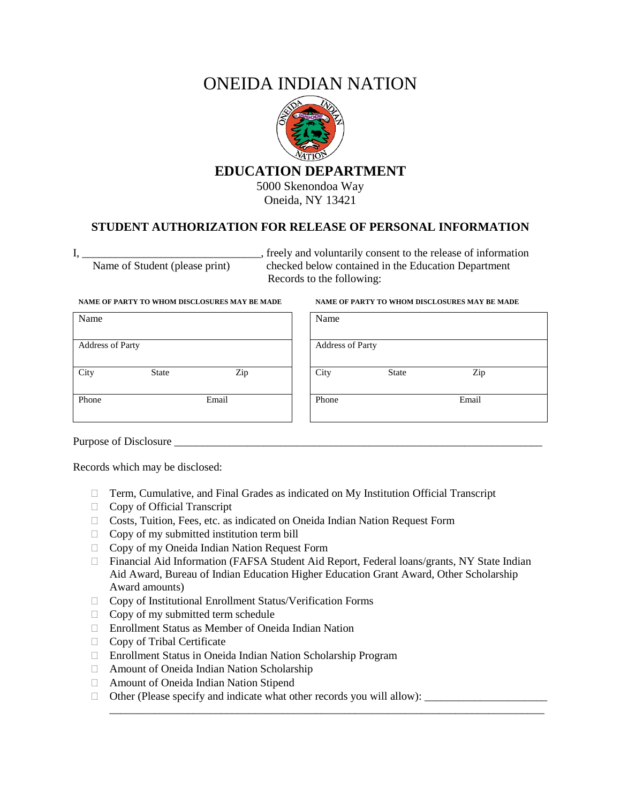# ONEIDA INDIAN NATION



Oneida, NY 13421

# **STUDENT AUTHORIZATION FOR RELEASE OF PERSONAL INFORMATION**

I, \_\_\_\_\_\_\_\_\_\_\_\_\_\_\_\_\_\_\_\_\_\_\_\_\_\_\_\_\_\_, freely and voluntarily consent to the release of information Name of Student (please print) checked below contained in the Education Department Records to the following:

| Name                    |              |       | Name                    |              |       |
|-------------------------|--------------|-------|-------------------------|--------------|-------|
| <b>Address of Party</b> |              |       | <b>Address of Party</b> |              |       |
| City                    | <b>State</b> | Zip   | City                    | <b>State</b> | Zip   |
| Phone                   |              | Email | Phone                   |              | Email |

### **NAME OF PARTY TO WHOM DISCLOSURES MAY BE MADE NAME OF PARTY TO WHOM DISCLOSURES MAY BE MADE**

| Name             |              |       |
|------------------|--------------|-------|
| Address of Party |              |       |
| City             | <b>State</b> | Zip   |
| Phone            |              | Email |

Purpose of Disclosure \_\_\_\_\_\_\_\_\_\_\_\_\_\_\_\_\_\_\_\_\_\_\_\_\_\_\_\_\_\_\_\_\_\_\_\_\_\_\_\_\_\_\_\_\_\_\_\_\_\_\_\_\_\_\_\_\_\_\_\_\_\_\_\_\_\_

Records which may be disclosed:

- Term, Cumulative, and Final Grades as indicated on My Institution Official Transcript
- □ Copy of Official Transcript
- Costs, Tuition, Fees, etc. as indicated on Oneida Indian Nation Request Form
- $\Box$  Copy of my submitted institution term bill
- □ Copy of my Oneida Indian Nation Request Form
- Financial Aid Information (FAFSA Student Aid Report, Federal loans/grants, NY State Indian Aid Award, Bureau of Indian Education Higher Education Grant Award, Other Scholarship Award amounts)

\_\_\_\_\_\_\_\_\_\_\_\_\_\_\_\_\_\_\_\_\_\_\_\_\_\_\_\_\_\_\_\_\_\_\_\_\_\_\_\_\_\_\_\_\_\_\_\_\_\_\_\_\_\_\_\_\_\_\_\_\_\_\_\_\_\_\_\_\_\_\_\_\_\_\_\_\_\_

- Copy of Institutional Enrollment Status/Verification Forms
- $\Box$  Copy of my submitted term schedule
- Enrollment Status as Member of Oneida Indian Nation
- □ Copy of Tribal Certificate
- Enrollment Status in Oneida Indian Nation Scholarship Program
- Amount of Oneida Indian Nation Scholarship
- Amount of Oneida Indian Nation Stipend
- $\Box$  Other (Please specify and indicate what other records you will allow):